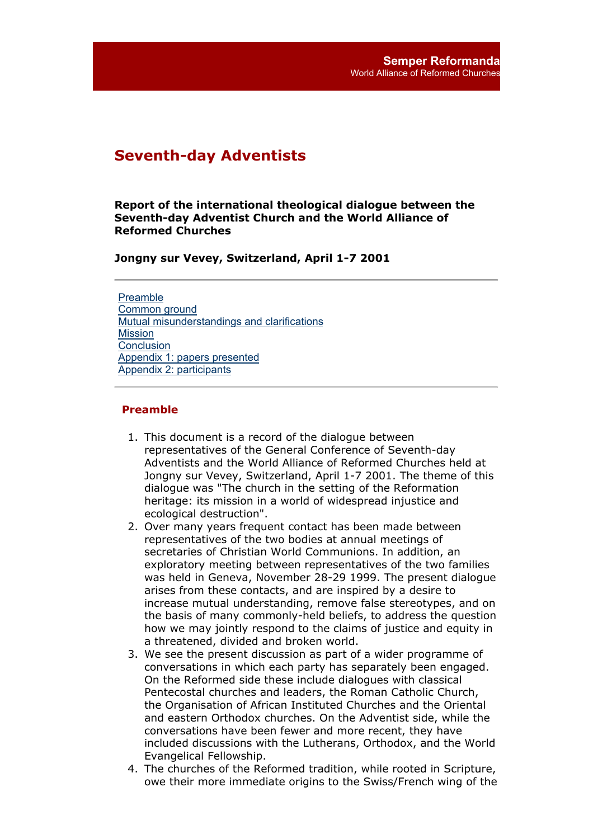# **Seventh-day Adventists**

**Report of the international theological dialogue between the Seventh-day Adventist Church and the World Alliance of Reformed Churches**

**Jongny sur Vevey, Switzerland, April 1-7 2001**

Preamble Common ground Mutual misunderstandings and clarifications **Mission Conclusion** Appendix 1: papers presented Appendix 2: participants

#### **Preamble**

- 1. This document is a record of the dialogue between representatives of the General Conference of Seventh-day Adventists and the World Alliance of Reformed Churches held at Jongny sur Vevey, Switzerland, April 1-7 2001. The theme of this dialogue was "The church in the setting of the Reformation heritage: its mission in a world of widespread injustice and ecological destruction".
- 2. Over many years frequent contact has been made between representatives of the two bodies at annual meetings of secretaries of Christian World Communions. In addition, an exploratory meeting between representatives of the two families was held in Geneva, November 28-29 1999. The present dialogue arises from these contacts, and are inspired by a desire to increase mutual understanding, remove false stereotypes, and on the basis of many commonly-held beliefs, to address the question how we may jointly respond to the claims of justice and equity in a threatened, divided and broken world.
- We see the present discussion as part of a wider programme of 3. conversations in which each party has separately been engaged. On the Reformed side these include dialogues with classical Pentecostal churches and leaders, the Roman Catholic Church, the Organisation of African Instituted Churches and the Oriental and eastern Orthodox churches. On the Adventist side, while the conversations have been fewer and more recent, they have included discussions with the Lutherans, Orthodox, and the World Evangelical Fellowship.
- The churches of the Reformed tradition, while rooted in Scripture, 4.owe their more immediate origins to the Swiss/French wing of the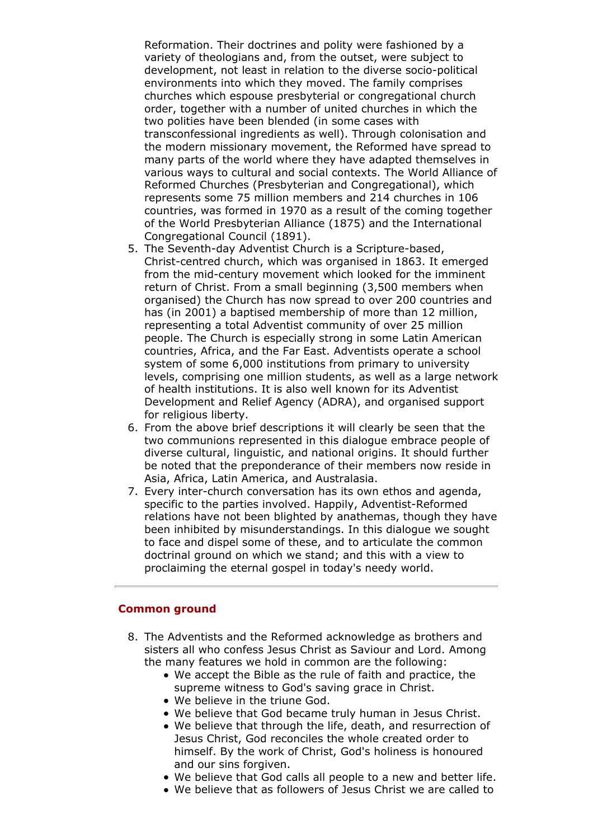Reformation. Their doctrines and polity were fashioned by a variety of theologians and, from the outset, were subject to development, not least in relation to the diverse socio-political environments into which they moved. The family comprises churches which espouse presbyterial or congregational church order, together with a number of united churches in which the two polities have been blended (in some cases with transconfessional ingredients as well). Through colonisation and the modern missionary movement, the Reformed have spread to many parts of the world where they have adapted themselves in various ways to cultural and social contexts. The World Alliance of Reformed Churches (Presbyterian and Congregational), which represents some 75 million members and 214 churches in 106 countries, was formed in 1970 as a result of the coming together of the World Presbyterian Alliance (1875) and the International Congregational Council (1891).

- 5. The Seventh-day Adventist Church is a Scripture-based, Christ-centred church, which was organised in 1863. It emerged from the mid-century movement which looked for the imminent return of Christ. From a small beginning (3,500 members when organised) the Church has now spread to over 200 countries and has (in 2001) a baptised membership of more than 12 million, representing a total Adventist community of over 25 million people. The Church is especially strong in some Latin American countries, Africa, and the Far East. Adventists operate a school system of some 6,000 institutions from primary to university levels, comprising one million students, as well as a large network of health institutions. It is also well known for its Adventist Development and Relief Agency (ADRA), and organised support for religious liberty.
- 6. From the above brief descriptions it will clearly be seen that the two communions represented in this dialogue embrace people of diverse cultural, linguistic, and national origins. It should further be noted that the preponderance of their members now reside in Asia, Africa, Latin America, and Australasia.
- Every inter-church conversation has its own ethos and agenda, 7. specific to the parties involved. Happily, Adventist-Reformed relations have not been blighted by anathemas, though they have been inhibited by misunderstandings. In this dialogue we sought to face and dispel some of these, and to articulate the common doctrinal ground on which we stand; and this with a view to proclaiming the eternal gospel in today's needy world.

#### **Common ground**

- The Adventists and the Reformed acknowledge as brothers and 8.sisters all who confess Jesus Christ as Saviour and Lord. Among the many features we hold in common are the following:
	- We accept the Bible as the rule of faith and practice, the supreme witness to God's saving grace in Christ.
	- We believe in the triune God.
	- We believe that God became truly human in Jesus Christ.
	- We believe that through the life, death, and resurrection of Jesus Christ, God reconciles the whole created order to himself. By the work of Christ, God's holiness is honoured and our sins forgiven.
	- We believe that God calls all people to a new and better life.
	- We believe that as followers of Jesus Christ we are called to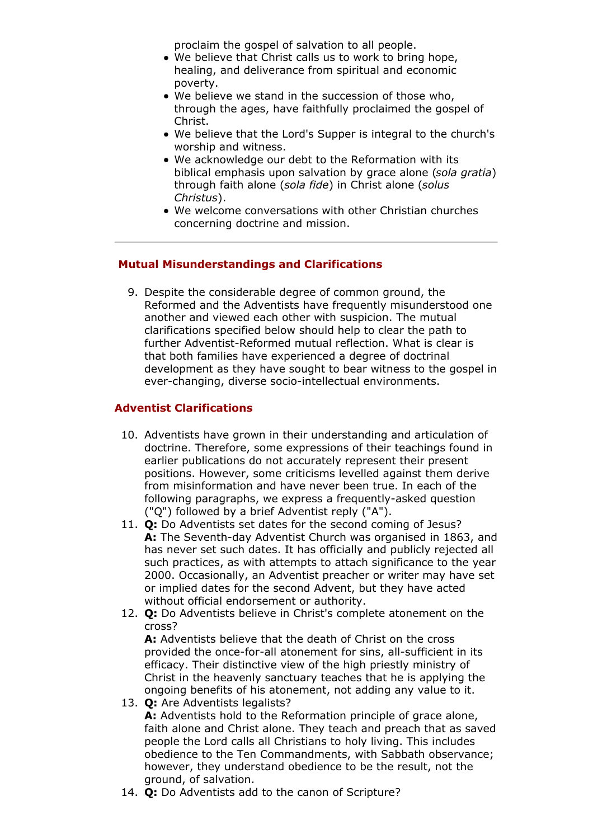proclaim the gospel of salvation to all people.

- We believe that Christ calls us to work to bring hope, healing, and deliverance from spiritual and economic poverty.
- We believe we stand in the succession of those who, through the ages, have faithfully proclaimed the gospel of Christ.
- We believe that the Lord's Supper is integral to the church's worship and witness.
- We acknowledge our debt to the Reformation with its biblical emphasis upon salvation by grace alone (*sola gratia*) through faith alone (*sola fide*) in Christ alone (*solus Christus*).
- We welcome conversations with other Christian churches concerning doctrine and mission.

### **Mutual Misunderstandings and Clarifications**

9. Despite the considerable degree of common ground, the Reformed and the Adventists have frequently misunderstood one another and viewed each other with suspicion. The mutual clarifications specified below should help to clear the path to further Adventist-Reformed mutual reflection. What is clear is that both families have experienced a degree of doctrinal development as they have sought to bear witness to the gospel in ever-changing, diverse socio-intellectual environments.

### **Adventist Clarifications**

- 10. Adventists have grown in their understanding and articulation of doctrine. Therefore, some expressions of their teachings found in earlier publications do not accurately represent their present positions. However, some criticisms levelled against them derive from misinformation and have never been true. In each of the following paragraphs, we express a frequently-asked question ("Q") followed by a brief Adventist reply ("A").
- **Q:** Do Adventists set dates for the second coming of Jesus? 11. **A:** The Seventh-day Adventist Church was organised in 1863, and has never set such dates. It has officially and publicly rejected all such practices, as with attempts to attach significance to the year 2000. Occasionally, an Adventist preacher or writer may have set or implied dates for the second Advent, but they have acted without official endorsement or authority.
- **Q:** Do Adventists believe in Christ's complete atonement on the 12. cross?

**A:** Adventists believe that the death of Christ on the cross provided the once-for-all atonement for sins, all-sufficient in its efficacy. Their distinctive view of the high priestly ministry of Christ in the heavenly sanctuary teaches that he is applying the ongoing benefits of his atonement, not adding any value to it.

**Q:** Are Adventists legalists? 13.

**A:** Adventists hold to the Reformation principle of grace alone, faith alone and Christ alone. They teach and preach that as saved people the Lord calls all Christians to holy living. This includes obedience to the Ten Commandments, with Sabbath observance; however, they understand obedience to be the result, not the ground, of salvation.

14. **Q:** Do Adventists add to the canon of Scripture?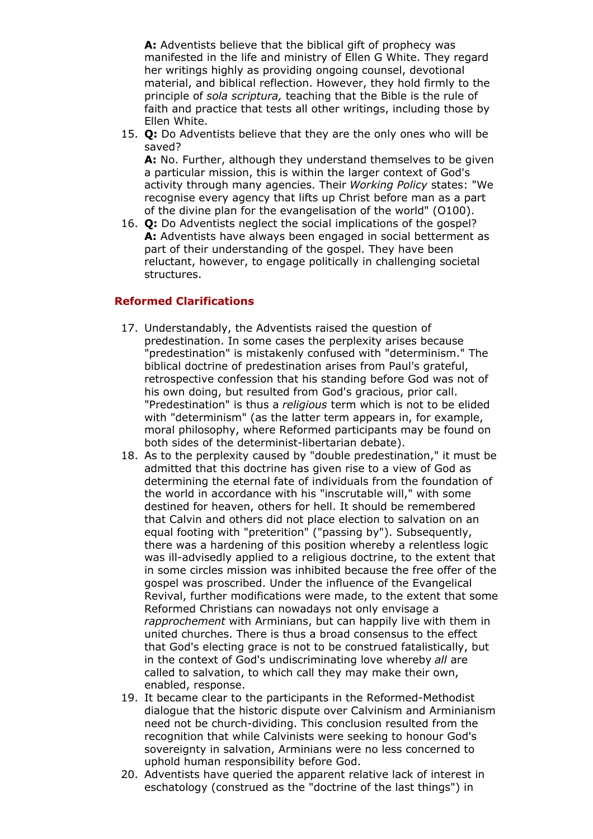**A:** Adventists believe that the biblical gift of prophecy was manifested in the life and ministry of Ellen G White. They regard her writings highly as providing ongoing counsel, devotional material, and biblical reflection. However, they hold firmly to the principle of *sola scriptura,* teaching that the Bible is the rule of faith and practice that tests all other writings, including those by Ellen White.

**Q:** Do Adventists believe that they are the only ones who will be 15. saved?

**A:** No. Further, although they understand themselves to be given a particular mission, this is within the larger context of God's activity through many agencies. Their *Working Policy* states: "We recognise every agency that lifts up Christ before man as a part of the divine plan for the evangelisation of the world" (O100).

**Q:** Do Adventists neglect the social implications of the gospel? 16. **A:** Adventists have always been engaged in social betterment as part of their understanding of the gospel. They have been reluctant, however, to engage politically in challenging societal structures.

# **Reformed Clarifications**

- 17. Understandably, the Adventists raised the question of predestination. In some cases the perplexity arises because "predestination" is mistakenly confused with "determinism." The biblical doctrine of predestination arises from Paul's grateful, retrospective confession that his standing before God was not of his own doing, but resulted from God's gracious, prior call. "Predestination" is thus a *religious* term which is not to be elided with "determinism" (as the latter term appears in, for example, moral philosophy, where Reformed participants may be found on both sides of the determinist-libertarian debate).
- 18. As to the perplexity caused by "double predestination," it must be admitted that this doctrine has given rise to a view of God as determining the eternal fate of individuals from the foundation of the world in accordance with his "inscrutable will," with some destined for heaven, others for hell. It should be remembered that Calvin and others did not place election to salvation on an equal footing with "preterition" ("passing by"). Subsequently, there was a hardening of this position whereby a relentless logic was ill-advisedly applied to a religious doctrine, to the extent that in some circles mission was inhibited because the free offer of the gospel was proscribed. Under the influence of the Evangelical Revival, further modifications were made, to the extent that some Reformed Christians can nowadays not only envisage a *rapprochement* with Arminians, but can happily live with them in united churches. There is thus a broad consensus to the effect that God's electing grace is not to be construed fatalistically, but in the context of God's undiscriminating love whereby *all* are called to salvation, to which call they may make their own, enabled, response.
- 19. It became clear to the participants in the Reformed-Methodist dialogue that the historic dispute over Calvinism and Arminianism need not be church-dividing. This conclusion resulted from the recognition that while Calvinists were seeking to honour God's sovereignty in salvation, Arminians were no less concerned to uphold human responsibility before God.
- 20. Adventists have queried the apparent relative lack of interest in eschatology (construed as the "doctrine of the last things") in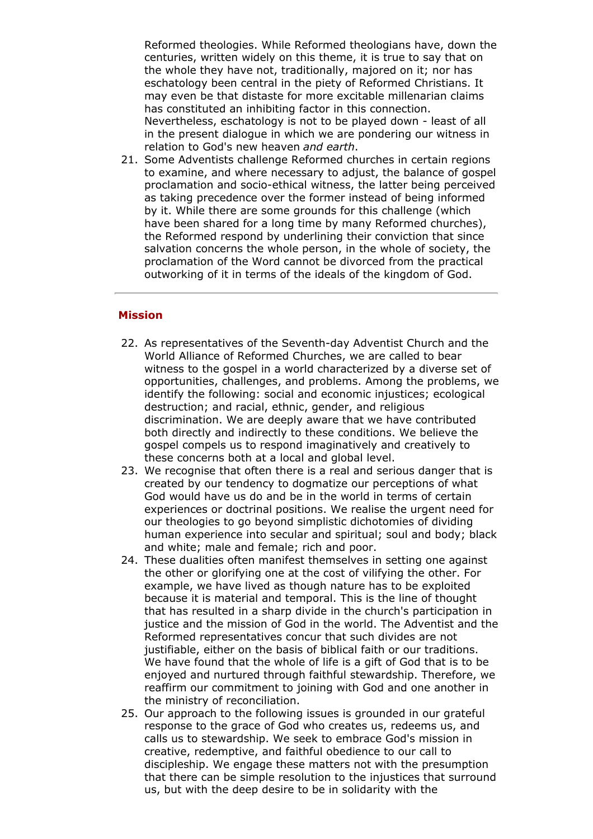Reformed theologies. While Reformed theologians have, down the centuries, written widely on this theme, it is true to say that on the whole they have not, traditionally, majored on it; nor has eschatology been central in the piety of Reformed Christians. It may even be that distaste for more excitable millenarian claims has constituted an inhibiting factor in this connection. Nevertheless, eschatology is not to be played down - least of all in the present dialogue in which we are pondering our witness in relation to God's new heaven *and earth*.

21. Some Adventists challenge Reformed churches in certain regions to examine, and where necessary to adjust, the balance of gospel proclamation and socio-ethical witness, the latter being perceived as taking precedence over the former instead of being informed by it. While there are some grounds for this challenge (which have been shared for a long time by many Reformed churches), the Reformed respond by underlining their conviction that since salvation concerns the whole person, in the whole of society, the proclamation of the Word cannot be divorced from the practical outworking of it in terms of the ideals of the kingdom of God.

### **Mission**

- 22. As representatives of the Seventh-day Adventist Church and the World Alliance of Reformed Churches, we are called to bear witness to the gospel in a world characterized by a diverse set of opportunities, challenges, and problems. Among the problems, we identify the following: social and economic injustices; ecological destruction; and racial, ethnic, gender, and religious discrimination. We are deeply aware that we have contributed both directly and indirectly to these conditions. We believe the gospel compels us to respond imaginatively and creatively to these concerns both at a local and global level.
- 23. We recognise that often there is a real and serious danger that is created by our tendency to dogmatize our perceptions of what God would have us do and be in the world in terms of certain experiences or doctrinal positions. We realise the urgent need for our theologies to go beyond simplistic dichotomies of dividing human experience into secular and spiritual; soul and body; black and white; male and female; rich and poor.
- 24. These dualities often manifest themselves in setting one against the other or glorifying one at the cost of vilifying the other. For example, we have lived as though nature has to be exploited because it is material and temporal. This is the line of thought that has resulted in a sharp divide in the church's participation in justice and the mission of God in the world. The Adventist and the Reformed representatives concur that such divides are not justifiable, either on the basis of biblical faith or our traditions. We have found that the whole of life is a gift of God that is to be enjoyed and nurtured through faithful stewardship. Therefore, we reaffirm our commitment to joining with God and one another in the ministry of reconciliation.
- 25. Our approach to the following issues is grounded in our grateful response to the grace of God who creates us, redeems us, and calls us to stewardship. We seek to embrace God's mission in creative, redemptive, and faithful obedience to our call to discipleship. We engage these matters not with the presumption that there can be simple resolution to the injustices that surround us, but with the deep desire to be in solidarity with the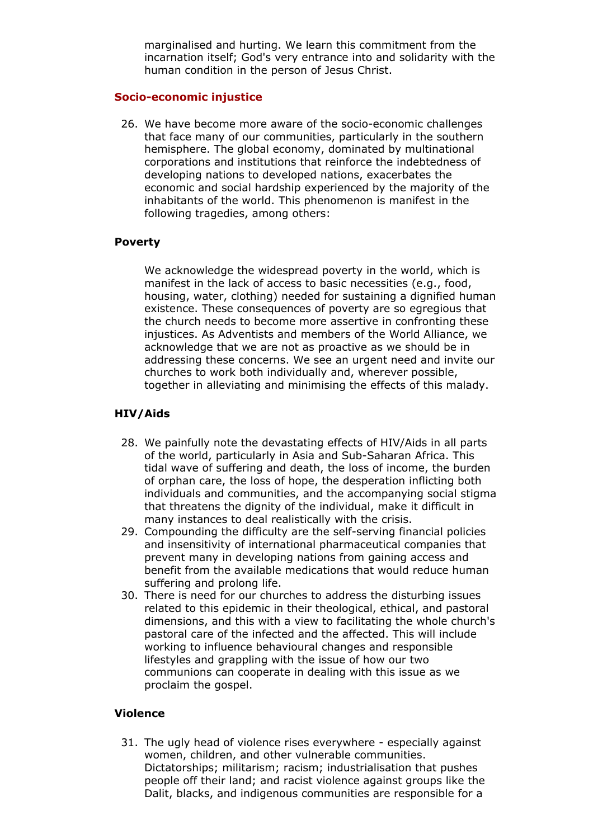marginalised and hurting. We learn this commitment from the incarnation itself; God's very entrance into and solidarity with the human condition in the person of Jesus Christ.

### **Socio-economic injustice**

26. We have become more aware of the socio-economic challenges that face many of our communities, particularly in the southern hemisphere. The global economy, dominated by multinational corporations and institutions that reinforce the indebtedness of developing nations to developed nations, exacerbates the economic and social hardship experienced by the majority of the inhabitants of the world. This phenomenon is manifest in the following tragedies, among others:

### **Poverty**

We acknowledge the widespread poverty in the world, which is manifest in the lack of access to basic necessities (e.g., food, housing, water, clothing) needed for sustaining a dignified human existence. These consequences of poverty are so egregious that the church needs to become more assertive in confronting these injustices. As Adventists and members of the World Alliance, we acknowledge that we are not as proactive as we should be in addressing these concerns. We see an urgent need and invite our churches to work both individually and, wherever possible, together in alleviating and minimising the effects of this malady.

### **HIV/Aids**

- 28. We painfully note the devastating effects of HIV/Aids in all parts of the world, particularly in Asia and Sub-Saharan Africa. This tidal wave of suffering and death, the loss of income, the burden of orphan care, the loss of hope, the desperation inflicting both individuals and communities, and the accompanying social stigma that threatens the dignity of the individual, make it difficult in many instances to deal realistically with the crisis.
- 29. Compounding the difficulty are the self-serving financial policies and insensitivity of international pharmaceutical companies that prevent many in developing nations from gaining access and benefit from the available medications that would reduce human suffering and prolong life.
- 30. There is need for our churches to address the disturbing issues related to this epidemic in their theological, ethical, and pastoral dimensions, and this with a view to facilitating the whole church's pastoral care of the infected and the affected. This will include working to influence behavioural changes and responsible lifestyles and grappling with the issue of how our two communions can cooperate in dealing with this issue as we proclaim the gospel.

### **Violence**

31. The ugly head of violence rises everywhere - especially against women, children, and other vulnerable communities. Dictatorships; militarism; racism; industrialisation that pushes people off their land; and racist violence against groups like the Dalit, blacks, and indigenous communities are responsible for a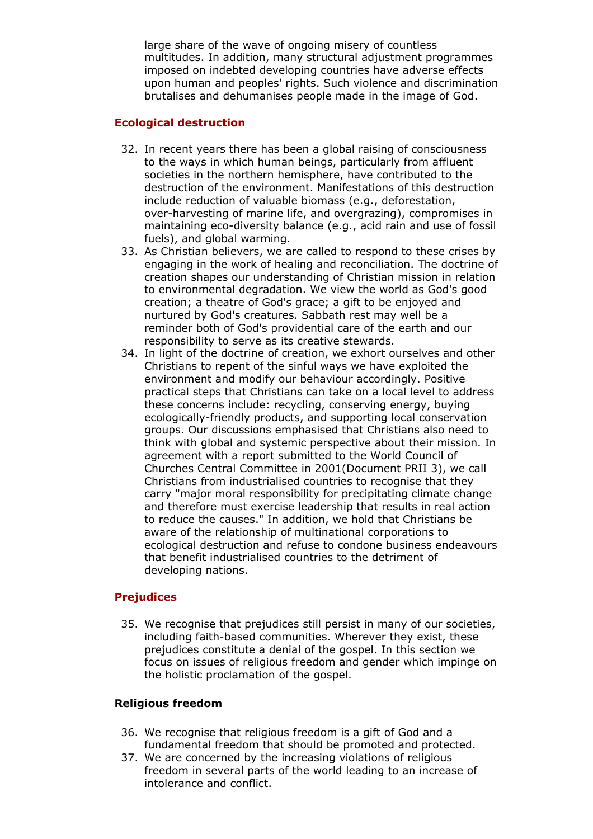large share of the wave of ongoing misery of countless multitudes. In addition, many structural adjustment programmes imposed on indebted developing countries have adverse effects upon human and peoples' rights. Such violence and discrimination brutalises and dehumanises people made in the image of God.

### **Ecological destruction**

- 32. In recent years there has been a global raising of consciousness to the ways in which human beings, particularly from affluent societies in the northern hemisphere, have contributed to the destruction of the environment. Manifestations of this destruction include reduction of valuable biomass (e.g., deforestation, over-harvesting of marine life, and overgrazing), compromises in maintaining eco-diversity balance (e.g., acid rain and use of fossil fuels), and global warming.
- 33. As Christian believers, we are called to respond to these crises by engaging in the work of healing and reconciliation. The doctrine of creation shapes our understanding of Christian mission in relation to environmental degradation. We view the world as God's good creation; a theatre of God's grace; a gift to be enjoyed and nurtured by God's creatures. Sabbath rest may well be a reminder both of God's providential care of the earth and our responsibility to serve as its creative stewards.
- 34. In light of the doctrine of creation, we exhort ourselves and other Christians to repent of the sinful ways we have exploited the environment and modify our behaviour accordingly. Positive practical steps that Christians can take on a local level to address these concerns include: recycling, conserving energy, buying ecologically-friendly products, and supporting local conservation groups. Our discussions emphasised that Christians also need to think with global and systemic perspective about their mission. In agreement with a report submitted to the World Council of Churches Central Committee in 2001(Document PRII 3), we call Christians from industrialised countries to recognise that they carry "major moral responsibility for precipitating climate change and therefore must exercise leadership that results in real action to reduce the causes." In addition, we hold that Christians be aware of the relationship of multinational corporations to ecological destruction and refuse to condone business endeavours that benefit industrialised countries to the detriment of developing nations.

# **Prejudices**

35. We recognise that prejudices still persist in many of our societies, including faith-based communities. Wherever they exist, these prejudices constitute a denial of the gospel. In this section we focus on issues of religious freedom and gender which impinge on the holistic proclamation of the gospel.

### **Religious freedom**

- 36. We recognise that religious freedom is a gift of God and a fundamental freedom that should be promoted and protected.
- 37. We are concerned by the increasing violations of religious freedom in several parts of the world leading to an increase of intolerance and conflict.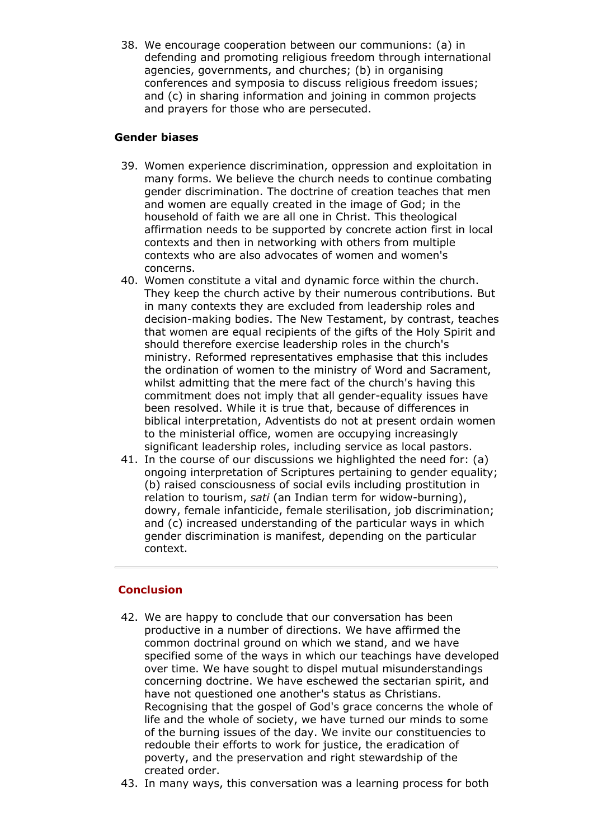38. We encourage cooperation between our communions: (a) in defending and promoting religious freedom through international agencies, governments, and churches; (b) in organising conferences and symposia to discuss religious freedom issues; and (c) in sharing information and joining in common projects and prayers for those who are persecuted.

# **Gender biases**

- 39. Women experience discrimination, oppression and exploitation in many forms. We believe the church needs to continue combating gender discrimination. The doctrine of creation teaches that men and women are equally created in the image of God; in the household of faith we are all one in Christ. This theological affirmation needs to be supported by concrete action first in local contexts and then in networking with others from multiple contexts who are also advocates of women and women's concerns.
- 40. Women constitute a vital and dynamic force within the church. They keep the church active by their numerous contributions. But in many contexts they are excluded from leadership roles and decision-making bodies. The New Testament, by contrast, teaches that women are equal recipients of the gifts of the Holy Spirit and should therefore exercise leadership roles in the church's ministry. Reformed representatives emphasise that this includes the ordination of women to the ministry of Word and Sacrament, whilst admitting that the mere fact of the church's having this commitment does not imply that all gender-equality issues have been resolved. While it is true that, because of differences in biblical interpretation, Adventists do not at present ordain women to the ministerial office, women are occupying increasingly significant leadership roles, including service as local pastors.
- 41. In the course of our discussions we highlighted the need for: (a) ongoing interpretation of Scriptures pertaining to gender equality; (b) raised consciousness of social evils including prostitution in relation to tourism, *sati* (an Indian term for widow-burning), dowry, female infanticide, female sterilisation, job discrimination; and (c) increased understanding of the particular ways in which gender discrimination is manifest, depending on the particular context.

# **Conclusion**

- 42. We are happy to conclude that our conversation has been productive in a number of directions. We have affirmed the common doctrinal ground on which we stand, and we have specified some of the ways in which our teachings have developed over time. We have sought to dispel mutual misunderstandings concerning doctrine. We have eschewed the sectarian spirit, and have not questioned one another's status as Christians. Recognising that the gospel of God's grace concerns the whole of life and the whole of society, we have turned our minds to some of the burning issues of the day. We invite our constituencies to redouble their efforts to work for justice, the eradication of poverty, and the preservation and right stewardship of the created order.
- 43. In many ways, this conversation was a learning process for both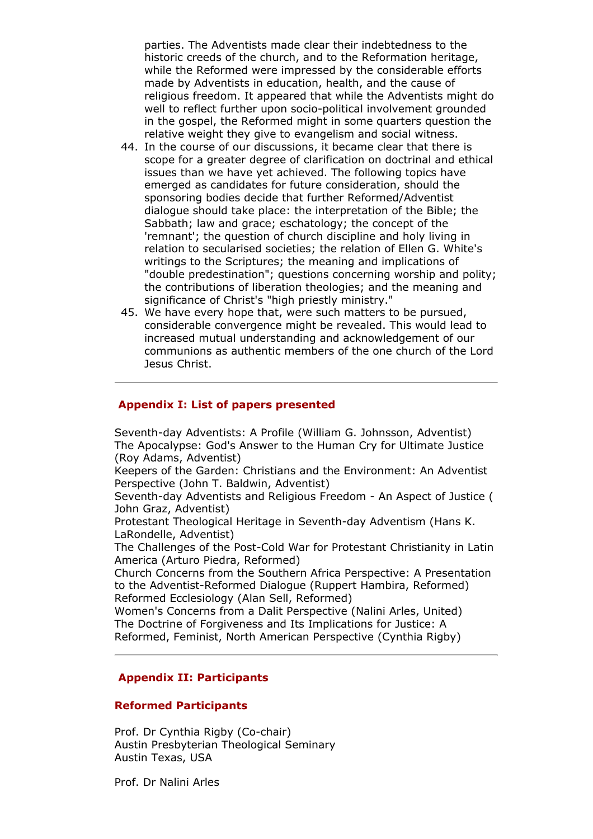parties. The Adventists made clear their indebtedness to the historic creeds of the church, and to the Reformation heritage, while the Reformed were impressed by the considerable efforts made by Adventists in education, health, and the cause of religious freedom. It appeared that while the Adventists might do well to reflect further upon socio-political involvement grounded in the gospel, the Reformed might in some quarters question the relative weight they give to evangelism and social witness.

- 44. In the course of our discussions, it became clear that there is scope for a greater degree of clarification on doctrinal and ethical issues than we have yet achieved. The following topics have emerged as candidates for future consideration, should the sponsoring bodies decide that further Reformed/Adventist dialogue should take place: the interpretation of the Bible; the Sabbath; law and grace; eschatology; the concept of the 'remnant'; the question of church discipline and holy living in relation to secularised societies; the relation of Ellen G. White's writings to the Scriptures; the meaning and implications of "double predestination"; questions concerning worship and polity; the contributions of liberation theologies; and the meaning and significance of Christ's "high priestly ministry."
- 45. We have every hope that, were such matters to be pursued, considerable convergence might be revealed. This would lead to increased mutual understanding and acknowledgement of our communions as authentic members of the one church of the Lord Jesus Christ.

### **Appendix I: List of papers presented**

Seventh-day Adventists: A Profile (William G. Johnsson, Adventist) The Apocalypse: God's Answer to the Human Cry for Ultimate Justice (Roy Adams, Adventist)

Keepers of the Garden: Christians and the Environment: An Adventist Perspective (John T. Baldwin, Adventist)

Seventh-day Adventists and Religious Freedom - An Aspect of Justice ( John Graz, Adventist)

Protestant Theological Heritage in Seventh-day Adventism (Hans K. LaRondelle, Adventist)

The Challenges of the Post-Cold War for Protestant Christianity in Latin America (Arturo Piedra, Reformed)

Church Concerns from the Southern Africa Perspective: A Presentation to the Adventist-Reformed Dialogue (Ruppert Hambira, Reformed) Reformed Ecclesiology (Alan Sell, Reformed)

Women's Concerns from a Dalit Perspective (Nalini Arles, United) The Doctrine of Forgiveness and Its Implications for Justice: A Reformed, Feminist, North American Perspective (Cynthia Rigby)

# **Appendix II: Participants**

### **Reformed Participants**

Prof. Dr Cynthia Rigby (Co-chair) Austin Presbyterian Theological Seminary Austin Texas, USA

Prof. Dr Nalini Arles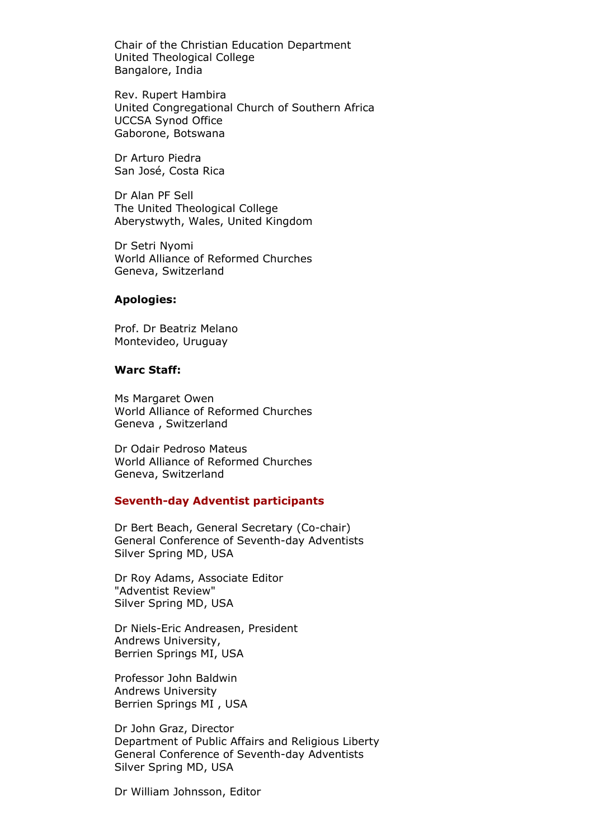Chair of the Christian Education Department United Theological College Bangalore, India

Rev. Rupert Hambira United Congregational Church of Southern Africa UCCSA Synod Office Gaborone, Botswana

Dr Arturo Piedra San José, Costa Rica

Dr Alan PF Sell The United Theological College Aberystwyth, Wales, United Kingdom

Dr Setri Nyomi World Alliance of Reformed Churches Geneva, Switzerland

#### **Apologies:**

Prof. Dr Beatriz Melano Montevideo, Uruguay

#### **Warc Staff:**

Ms Margaret Owen World Alliance of Reformed Churches Geneva , Switzerland

Dr Odair Pedroso Mateus World Alliance of Reformed Churches Geneva, Switzerland

#### **Seventh-day Adventist participants**

Dr Bert Beach, General Secretary (Co-chair) General Conference of Seventh-day Adventists Silver Spring MD, USA

Dr Roy Adams, Associate Editor "Adventist Review" Silver Spring MD, USA

Dr Niels-Eric Andreasen, President Andrews University, Berrien Springs MI, USA

Professor John Baldwin Andrews University Berrien Springs MI , USA

Dr John Graz, Director Department of Public Affairs and Religious Liberty General Conference of Seventh-day Adventists Silver Spring MD, USA

Dr William Johnsson, Editor